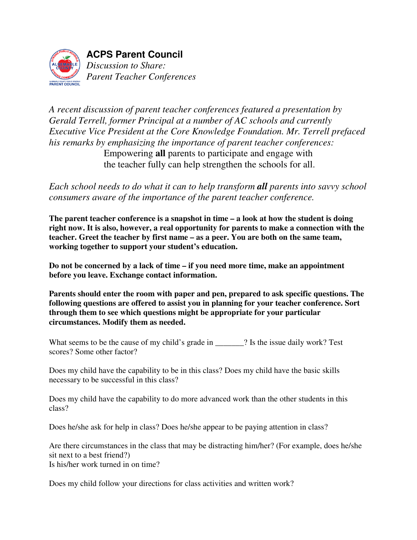

*A recent discussion of parent teacher conferences featured a presentation by Gerald Terrell, former Principal at a number of AC schools and currently Executive Vice President at the Core Knowledge Foundation. Mr. Terrell prefaced his remarks by emphasizing the importance of parent teacher conferences:*  Empowering **all** parents to participate and engage with the teacher fully can help strengthen the schools for all.

*Each school needs to do what it can to help transform all parents into savvy school consumers aware of the importance of the parent teacher conference.* 

**The parent teacher conference is a snapshot in time – a look at how the student is doing right now. It is also, however, a real opportunity for parents to make a connection with the teacher. Greet the teacher by first name – as a peer. You are both on the same team, working together to support your student's education.** 

**Do not be concerned by a lack of time – if you need more time, make an appointment before you leave. Exchange contact information.** 

**Parents should enter the room with paper and pen, prepared to ask specific questions. The following questions are offered to assist you in planning for your teacher conference. Sort through them to see which questions might be appropriate for your particular circumstances. Modify them as needed.** 

What seems to be the cause of my child's grade in \_\_\_\_\_\_\_? Is the issue daily work? Test scores? Some other factor?

Does my child have the capability to be in this class? Does my child have the basic skills necessary to be successful in this class?

Does my child have the capability to do more advanced work than the other students in this class?

Does he/she ask for help in class? Does he/she appear to be paying attention in class?

Are there circumstances in the class that may be distracting him/her? (For example, does he/she sit next to a best friend?)

Is his/her work turned in on time?

Does my child follow your directions for class activities and written work?